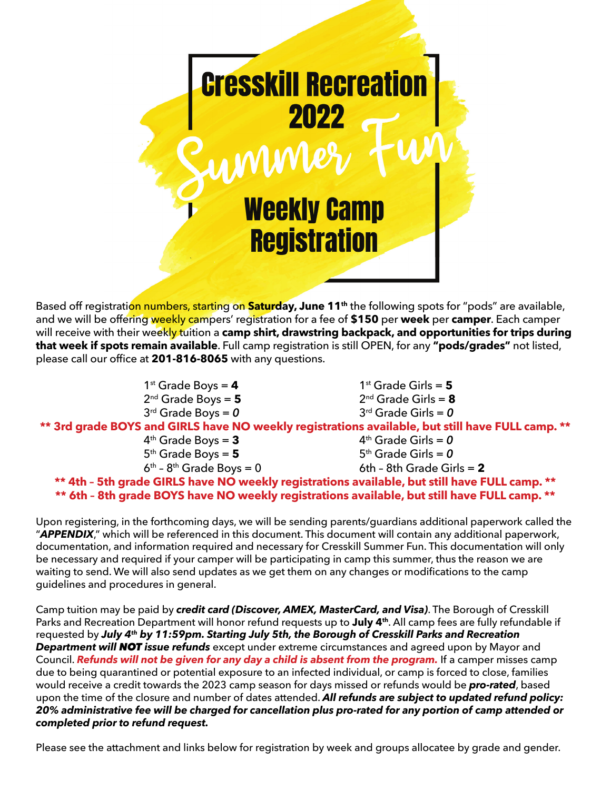

Based off registration numbers, starting on **Saturday, June 11<sup>th</sup> the following spots for "pods"** are available, and we will be offering weekly campers' registration for a fee of **\$150** per **week** per **camper**. Each camper will receive with their weekly tuition a **camp shirt, drawstring backpack, and opportunities for trips during that week if spots remain available**. Full camp registration is still OPEN, for any **"pods/grades"** not listed, please call our office at **201-816-8065** with any questions.

- 3rd Grade Boys = *0* 3rd Grade Girls = *0*
- $1^{st}$  Grade Boys =  $4$  1st Grade Girls =  $5$  $2^{nd}$  Grade Boys = **5**  $3^{rd}$  Grade Girls = **8**<br> $3^{rd}$  Grade Boys = 0  $3^{rd}$  Grade Girls = 0

**\*\* 3rd grade BOYS and GIRLS have NO weekly registrations available, but still have FULL camp. \*\***

- $4<sup>th</sup>$  Grade Boys = **3**  $4<sup>th</sup>$  Grade Girls = 0<br>  $5<sup>th</sup>$  Grade Boys = **5**  $5<sup>th</sup>$  Grade Girls = 0 5<sup>th</sup> Grade Boys = 5
- 
- $6<sup>th</sup> 8<sup>th</sup>$  Grade Boys = 0 6th 8th Grade Girls = 2

**\*\* 4th – 5th grade GIRLS have NO weekly registrations available, but still have FULL camp. \*\* \*\* 6th – 8th grade BOYS have NO weekly registrations available, but still have FULL camp. \*\***

Upon registering, in the forthcoming days, we will be sending parents/guardians additional paperwork called the "*APPENDIX*," which will be referenced in this document. This document will contain any additional paperwork, documentation, and information required and necessary for Cresskill Summer Fun. This documentation will only be necessary and required if your camper will be participating in camp this summer, thus the reason we are waiting to send. We will also send updates as we get them on any changes or modifications to the camp guidelines and procedures in general.

Camp tuition may be paid by *credit card (Discover, AMEX, MasterCard, and Visa)*. The Borough of Cresskill Parks and Recreation Department will honor refund requests up to **July 4th**. All camp fees are fully refundable if requested by *July 4th by 11:59pm. Starting July 5th, the Borough of Cresskill Parks and Recreation Department will NOT issue refunds* except under extreme circumstances and agreed upon by Mayor and Council. *Refunds will not be given for any day a child is absent from the program.* If a camper misses camp due to being quarantined or potential exposure to an infected individual, or camp is forced to close, families would receive a credit towards the 2023 camp season for days missed or refunds would be *pro-rated*, based upon the time of the closure and number of dates attended. *All refunds are subject to updated refund policy: 20% administrative fee will be charged for cancellation plus pro-rated for any portion of camp attended or completed prior to refund request.*

Please see the attachment and links below for registration by week and groups allocatee by grade and gender.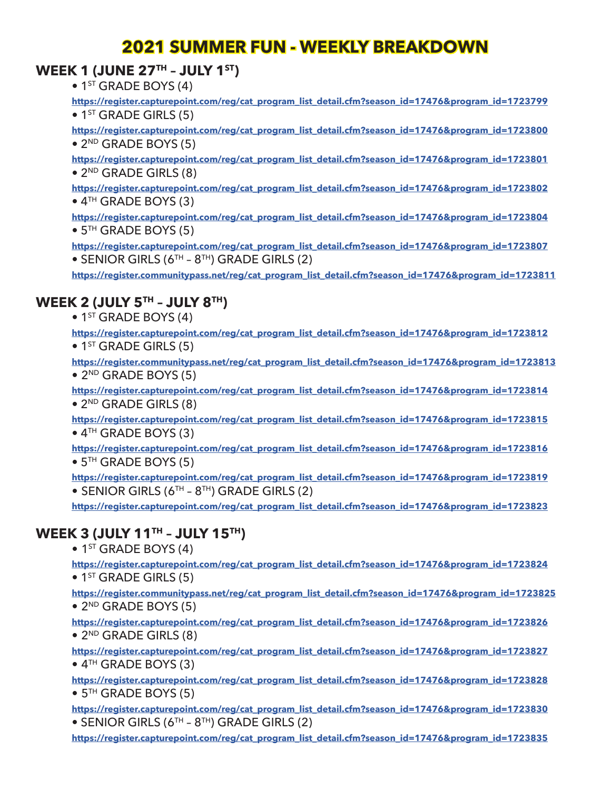# **2021 SUMMER FUN - WEEKLY BREAKDOWN**

### **WEEK 1 (JUNE 27TH – JULY 1ST)**

 $\bullet$  1<sup>ST</sup> GRADE BOYS (4)

**[https://register.capturepoint.com/reg/cat\\_program\\_list\\_detail.cfm?season\\_id=17476&program\\_id=1723799](https://register.capturepoint.com/reg/cat_program_list_detail.cfm?season_id=17476&program_id=1723799)**  $\bullet$  1st GRADE GIRLS (5)

**[https://register.capturepoint.com/reg/cat\\_program\\_list\\_detail.cfm?season\\_id=17476&program\\_id=1723800](https://register.capturepoint.com/reg/cat_program_list_detail.cfm?season_id=17476&program_id=1723800)** • 2<sup>ND</sup> GRADE BOYS (5)

**[https://register.capturepoint.com/reg/cat\\_program\\_list\\_detail.cfm?season\\_id=17476&program\\_id=1723801](https://register.capturepoint.com/reg/cat_program_list_detail.cfm?season_id=17476&program_id=1723801)**  $\bullet$  2<sup>ND</sup> GRADE GIRLS (8)

**[https://register.capturepoint.com/reg/cat\\_program\\_list\\_detail.cfm?season\\_id=17476&program\\_id=1723802](https://register.capturepoint.com/reg/cat_program_list_detail.cfm?season_id=17476&program_id=1723802)** • 4<sup>TH</sup> GRADE BOYS (3)

**[https://register.capturepoint.com/reg/cat\\_program\\_list\\_detail.cfm?season\\_id=17476&program\\_id=1723804](https://register.capturepoint.com/reg/cat_program_list_detail.cfm?season_id=17476&program_id=1723804)** • 5<sup>TH</sup> GRADE BOYS (5)

**[https://register.capturepoint.com/reg/cat\\_program\\_list\\_detail.cfm?season\\_id=17476&program\\_id=1723807](https://register.capturepoint.com/reg/cat_program_list_detail.cfm?season_id=17476&program_id=1723807)**  $\bullet$  SENIOR GIRLS (6<sup>TH</sup> – 8<sup>TH</sup>) GRADE GIRLS (2)

**[https://register.communitypass.net/reg/cat\\_program\\_list\\_detail.cfm?season\\_id=17476&program\\_id=1723811](https://register.communitypass.net/reg/cat_program_list_detail.cfm?season_id=17476&program_id=1723811)**

## **WEEK 2 (JULY 5TH – JULY 8TH)**

 $\bullet$  1<sup>ST</sup> GRADE BOYS (4)

**[https://register.capturepoint.com/reg/cat\\_program\\_list\\_detail.cfm?season\\_id=17476&program\\_id=1723812](https://register.capturepoint.com/reg/cat_program_list_detail.cfm?season_id=17476&program_id=1723812)**  $\bullet$  1<sup>ST</sup> GRADE GIRLS (5)

**[https://register.communitypass.net/reg/cat\\_program\\_list\\_detail.cfm?season\\_id=17476&program\\_id=1723813](https://register.communitypass.net/reg/cat_program_list_detail.cfm?season_id=17476&program_id=1723813)** • 2<sup>ND</sup> GRADE BOYS (5)

**[https://register.capturepoint.com/reg/cat\\_program\\_list\\_detail.cfm?season\\_id=17476&program\\_id=1723814](https://register.capturepoint.com/reg/cat_program_list_detail.cfm?season_id=17476&program_id=1723814)**  $\bullet$  2<sup>ND</sup> GRADE GIRLS (8)

**[https://register.capturepoint.com/reg/cat\\_program\\_list\\_detail.cfm?season\\_id=17476&program\\_id=1723815](https://register.capturepoint.com/reg/cat_program_list_detail.cfm?season_id=17476&program_id=1723815)** • 4<sup>TH</sup> GRADE BOYS (3)

**[https://register.capturepoint.com/reg/cat\\_program\\_list\\_detail.cfm?season\\_id=17476&program\\_id=1723816](https://register.capturepoint.com/reg/cat_program_list_detail.cfm?season_id=17476&program_id=1723816)** • 5<sup>TH</sup> GRADE BOYS (5)

**[https://register.capturepoint.com/reg/cat\\_program\\_list\\_detail.cfm?season\\_id=17476&program\\_id=1723819](https://register.capturepoint.com/reg/cat_program_list_detail.cfm?season_id=17476&program_id=1723819)**  $\bullet$  SENIOR GIRLS (6<sup>TH</sup> – 8<sup>TH</sup>) GRADE GIRLS (2)

**[https://register.capturepoint.com/reg/cat\\_program\\_list\\_detail.cfm?season\\_id=17476&program\\_id=1723823](https://register.capturepoint.com/reg/cat_program_list_detail.cfm?season_id=17476&program_id=1723823)**

### **WEEK 3 (JULY 11TH – JULY 15TH)**

• 1<sup>ST</sup> GRADE BOYS (4)

**[https://register.capturepoint.com/reg/cat\\_program\\_list\\_detail.cfm?season\\_id=17476&program\\_id=1723824](https://register.capturepoint.com/reg/cat_program_list_detail.cfm?season_id=17476&program_id=1723824)**  $\bullet$  1<sup>ST</sup> GRADE GIRLS (5)

**[https://register.communitypass.net/reg/cat\\_program\\_list\\_detail.cfm?season\\_id=17476&program\\_id=1723825](https://register.communitypass.net/reg/cat_program_list_detail.cfm?season_id=17476&program_id=1723825)**  $\bullet$  2<sup>ND</sup> GRADE BOYS (5)

**[https://register.capturepoint.com/reg/cat\\_program\\_list\\_detail.cfm?season\\_id=17476&program\\_id=1723826](https://register.capturepoint.com/reg/cat_program_list_detail.cfm?season_id=17476&program_id=1723826)** • 2<sup>ND</sup> GRADE GIRLS (8)

**[https://register.capturepoint.com/reg/cat\\_program\\_list\\_detail.cfm?season\\_id=17476&program\\_id=1723827](https://register.capturepoint.com/reg/cat_program_list_detail.cfm?season_id=17476&program_id=1723827)**  $\bullet$  4<sup>TH</sup> GRADE BOYS (3)

**[https://register.capturepoint.com/reg/cat\\_program\\_list\\_detail.cfm?season\\_id=17476&program\\_id=1723828](https://register.capturepoint.com/reg/cat_program_list_detail.cfm?season_id=17476&program_id=1723828)**  $\bullet$  5<sup>TH</sup> GRADE BOYS (5)

**[https://register.capturepoint.com/reg/cat\\_program\\_list\\_detail.cfm?season\\_id=17476&program\\_id=1723830](https://register.capturepoint.com/reg/cat_program_list_detail.cfm?season_id=17476&program_id=1723830)** • SENIOR GIRLS ( $6<sup>TH</sup> - 8<sup>TH</sup>$ ) GRADE GIRLS (2)

**[https://register.capturepoint.com/reg/cat\\_program\\_list\\_detail.cfm?season\\_id=17476&program\\_id=1723835](https://register.capturepoint.com/reg/cat_program_list_detail.cfm?season_id=17476&program_id=1723835)**